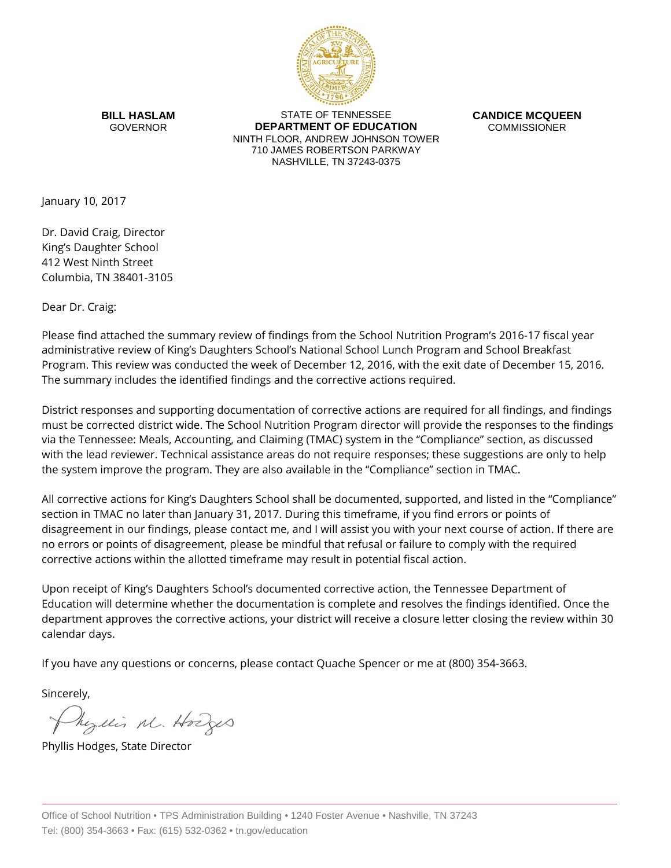

**BILL HASLAM** GOVERNOR

STATE OF TENNESSEE **DEPARTMENT OF EDUCATION** NINTH FLOOR, ANDREW JOHNSON TOWER 710 JAMES ROBERTSON PARKWAY NASHVILLE, TN 37243-0375

**CANDICE MCQUEEN** COMMISSIONER

January 10, 2017

Dr. David Craig, Director King's Daughter School 412 West Ninth Street Columbia, TN 38401-3105

Dear Dr. Craig:

Please find attached the summary review of findings from the School Nutrition Program's 2016-17 fiscal year administrative review of King's Daughters School's National School Lunch Program and School Breakfast Program. This review was conducted the week of December 12, 2016, with the exit date of December 15, 2016. The summary includes the identified findings and the corrective actions required.

District responses and supporting documentation of corrective actions are required for all findings, and findings must be corrected district wide. The School Nutrition Program director will provide the responses to the findings via the Tennessee: Meals, Accounting, and Claiming (TMAC) system in the "Compliance" section, as discussed with the lead reviewer. Technical assistance areas do not require responses; these suggestions are only to help the system improve the program. They are also available in the "Compliance" section in TMAC.

All corrective actions for King's Daughters School shall be documented, supported, and listed in the "Compliance" section in TMAC no later than January 31, 2017. During this timeframe, if you find errors or points of disagreement in our findings, please contact me, and I will assist you with your next course of action. If there are no errors or points of disagreement, please be mindful that refusal or failure to comply with the required corrective actions within the allotted timeframe may result in potential fiscal action.

Upon receipt of King's Daughters School's documented corrective action, the Tennessee Department of Education will determine whether the documentation is complete and resolves the findings identified. Once the department approves the corrective actions, your district will receive a closure letter closing the review within 30 calendar days.

If you have any questions or concerns, please contact Quache Spencer or me at (800) 354-3663.

Sincerely,

Myllis M. Hodges

Phyllis Hodges, State Director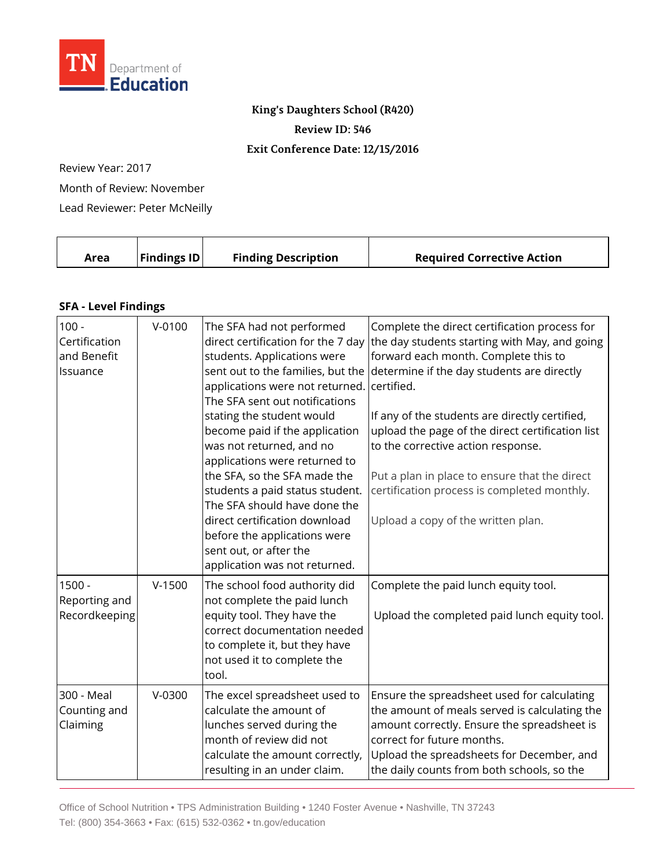

## **King's Daughters School (R420)**

**Review ID: 546**

## **Exit Conference Date: 12/15/2016**

Review Year: 2017

Month of Review: November

Lead Reviewer: Peter McNeilly

|  | Area | <b>Findings ID</b> | <b>Finding Description</b> | <b>Required Corrective Action</b> |
|--|------|--------------------|----------------------------|-----------------------------------|
|--|------|--------------------|----------------------------|-----------------------------------|

## **SFA - Level Findings**

| $\sqrt{100}$ -<br>Certification<br>and Benefit<br>Issuance | $V-0100$ | The SFA had not performed<br>direct certification for the 7 day<br>students. Applications were<br>sent out to the families, but the<br>applications were not returned.<br>The SFA sent out notifications<br>stating the student would<br>become paid if the application<br>was not returned, and no<br>applications were returned to<br>the SFA, so the SFA made the<br>students a paid status student.<br>The SFA should have done the<br>direct certification download<br>before the applications were<br>sent out, or after the<br>application was not returned. | Complete the direct certification process for<br>the day students starting with May, and going<br>forward each month. Complete this to<br>determine if the day students are directly<br>certified.<br>If any of the students are directly certified,<br>upload the page of the direct certification list<br>to the corrective action response.<br>Put a plan in place to ensure that the direct<br>certification process is completed monthly.<br>Upload a copy of the written plan. |
|------------------------------------------------------------|----------|---------------------------------------------------------------------------------------------------------------------------------------------------------------------------------------------------------------------------------------------------------------------------------------------------------------------------------------------------------------------------------------------------------------------------------------------------------------------------------------------------------------------------------------------------------------------|--------------------------------------------------------------------------------------------------------------------------------------------------------------------------------------------------------------------------------------------------------------------------------------------------------------------------------------------------------------------------------------------------------------------------------------------------------------------------------------|
| 1500 -<br>Reporting and<br>Recordkeeping                   | $V-1500$ | The school food authority did<br>not complete the paid lunch<br>equity tool. They have the<br>correct documentation needed<br>to complete it, but they have<br>not used it to complete the<br>tool.                                                                                                                                                                                                                                                                                                                                                                 | Complete the paid lunch equity tool.<br>Upload the completed paid lunch equity tool.                                                                                                                                                                                                                                                                                                                                                                                                 |
| 300 - Meal<br>Counting and<br>Claiming                     | $V-0300$ | The excel spreadsheet used to<br>calculate the amount of<br>lunches served during the<br>month of review did not<br>calculate the amount correctly,<br>resulting in an under claim.                                                                                                                                                                                                                                                                                                                                                                                 | Ensure the spreadsheet used for calculating<br>the amount of meals served is calculating the<br>amount correctly. Ensure the spreadsheet is<br>correct for future months.<br>Upload the spreadsheets for December, and<br>the daily counts from both schools, so the                                                                                                                                                                                                                 |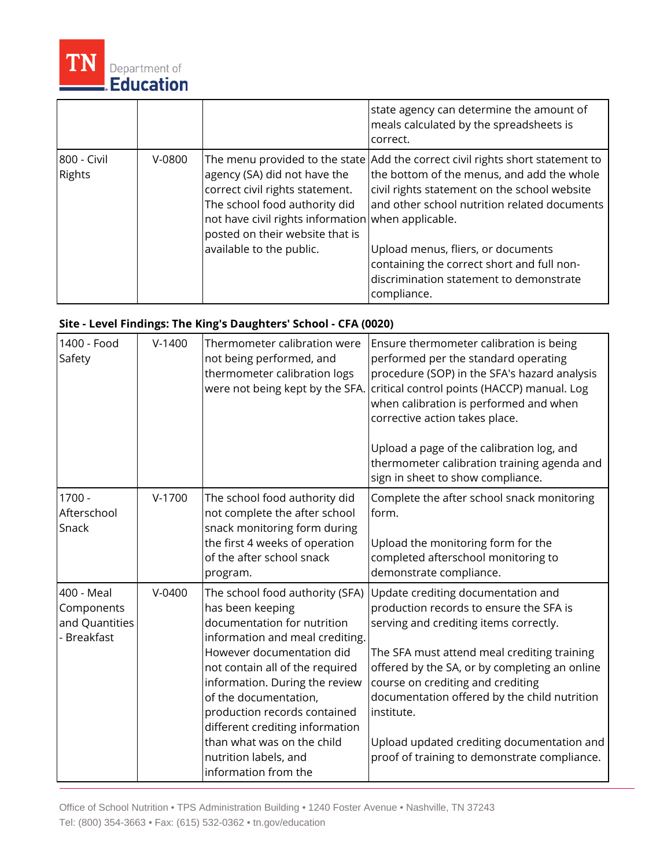

|                       |          |                                                                                                                                                                                                                       | state agency can determine the amount of<br>meals calculated by the spreadsheets is<br>correct.                                                                                                                                                                                                                                                                            |
|-----------------------|----------|-----------------------------------------------------------------------------------------------------------------------------------------------------------------------------------------------------------------------|----------------------------------------------------------------------------------------------------------------------------------------------------------------------------------------------------------------------------------------------------------------------------------------------------------------------------------------------------------------------------|
| 800 - Civil<br>Rights | $V-0800$ | agency (SA) did not have the<br>correct civil rights statement.<br>The school food authority did<br>not have civil rights information when applicable.<br>posted on their website that is<br>available to the public. | The menu provided to the state Add the correct civil rights short statement to<br>the bottom of the menus, and add the whole<br>civil rights statement on the school website<br>and other school nutrition related documents<br>Upload menus, fliers, or documents<br>containing the correct short and full non-<br>discrimination statement to demonstrate<br>compliance. |

## **Site - Level Findings: The King's Daughters' School - CFA (0020)**

| 1400 - Food<br>Safety                                     | $V-1400$   | Thermometer calibration were<br>not being performed, and<br>thermometer calibration logs<br>were not being kept by the SFA.                                                                                                                                                                                                                                                                        | Ensure thermometer calibration is being<br>performed per the standard operating<br>procedure (SOP) in the SFA's hazard analysis<br>critical control points (HACCP) manual. Log<br>when calibration is performed and when<br>corrective action takes place.<br>Upload a page of the calibration log, and<br>thermometer calibration training agenda and<br>sign in sheet to show compliance.                              |
|-----------------------------------------------------------|------------|----------------------------------------------------------------------------------------------------------------------------------------------------------------------------------------------------------------------------------------------------------------------------------------------------------------------------------------------------------------------------------------------------|--------------------------------------------------------------------------------------------------------------------------------------------------------------------------------------------------------------------------------------------------------------------------------------------------------------------------------------------------------------------------------------------------------------------------|
| $1700 -$<br>Afterschool<br>Snack                          | $V-1700$   | The school food authority did<br>not complete the after school<br>snack monitoring form during<br>the first 4 weeks of operation<br>of the after school snack<br>program.                                                                                                                                                                                                                          | Complete the after school snack monitoring<br>form.<br>Upload the monitoring form for the<br>completed afterschool monitoring to<br>demonstrate compliance.                                                                                                                                                                                                                                                              |
| 400 - Meal<br>Components<br>and Quantities<br>- Breakfast | $V - 0400$ | The school food authority (SFA)<br>has been keeping<br>documentation for nutrition<br>information and meal crediting.<br>However documentation did<br>not contain all of the required<br>information. During the review<br>of the documentation,<br>production records contained<br>different crediting information<br>than what was on the child<br>nutrition labels, and<br>information from the | Update crediting documentation and<br>production records to ensure the SFA is<br>serving and crediting items correctly.<br>The SFA must attend meal crediting training<br>offered by the SA, or by completing an online<br>course on crediting and crediting<br>documentation offered by the child nutrition<br>institute.<br>Upload updated crediting documentation and<br>proof of training to demonstrate compliance. |